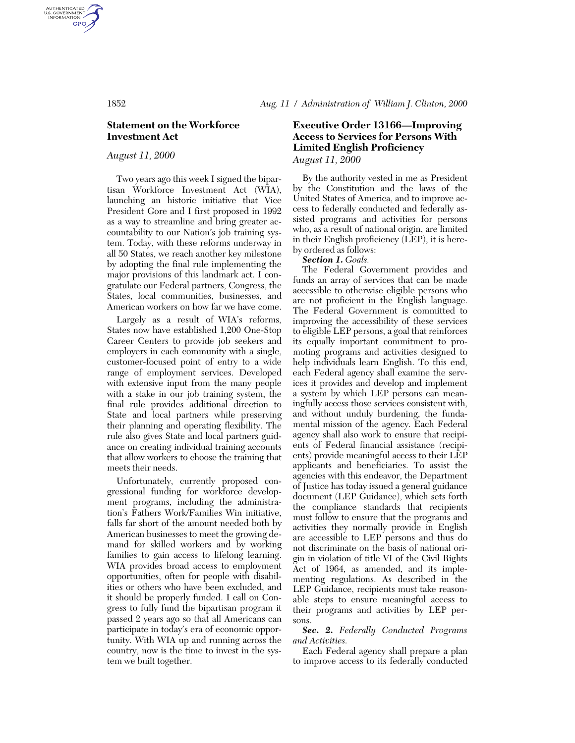### **Statement on the Workforce Investment Act**

*August 11, 2000*

Two years ago this week I signed the bipartisan Workforce Investment Act (WIA), launching an historic initiative that Vice President Gore and I first proposed in 1992 as a way to streamline and bring greater accountability to our Nation's job training system. Today, with these reforms underway in all 50 States, we reach another key milestone by adopting the final rule implementing the major provisions of this landmark act. I congratulate our Federal partners, Congress, the States, local communities, businesses, and American workers on how far we have come.

Largely as a result of WIA's reforms, States now have established 1,200 One-Stop Career Centers to provide job seekers and employers in each community with a single, customer-focused point of entry to a wide range of employment services. Developed with extensive input from the many people with a stake in our job training system, the final rule provides additional direction to State and local partners while preserving their planning and operating flexibility. The rule also gives State and local partners guidance on creating individual training accounts that allow workers to choose the training that meets their needs.

Unfortunately, currently proposed congressional funding for workforce development programs, including the administration's Fathers Work/Families Win initiative, falls far short of the amount needed both by American businesses to meet the growing demand for skilled workers and by working families to gain access to lifelong learning. WIA provides broad access to employment opportunities, often for people with disabilities or others who have been excluded, and it should be properly funded. I call on Congress to fully fund the bipartisan program it passed 2 years ago so that all Americans can participate in today's era of economic opportunity. With WIA up and running across the country, now is the time to invest in the system we built together.

# **Executive Order 13166—Improving Access to Services for Persons With Limited English Proficiency** *August 11, 2000*

By the authority vested in me as President by the Constitution and the laws of the United States of America, and to improve access to federally conducted and federally assisted programs and activities for persons who, as a result of national origin, are limited in their English proficiency (LEP), it is hereby ordered as follows:

*Section 1. Goals.*

The Federal Government provides and funds an array of services that can be made accessible to otherwise eligible persons who are not proficient in the English language. The Federal Government is committed to improving the accessibility of these services to eligible LEP persons, a goal that reinforces its equally important commitment to promoting programs and activities designed to help individuals learn English. To this end, each Federal agency shall examine the services it provides and develop and implement a system by which LEP persons can meaningfully access those services consistent with, and without unduly burdening, the fundamental mission of the agency. Each Federal agency shall also work to ensure that recipients of Federal financial assistance (recipients) provide meaningful access to their LEP applicants and beneficiaries. To assist the agencies with this endeavor, the Department of Justice has today issued a general guidance document (LEP Guidance), which sets forth the compliance standards that recipients must follow to ensure that the programs and activities they normally provide in English are accessible to LEP persons and thus do not discriminate on the basis of national origin in violation of title VI of the Civil Rights Act of 1964, as amended, and its implementing regulations. As described in the LEP Guidance, recipients must take reasonable steps to ensure meaningful access to their programs and activities by LEP persons.

*Sec. 2. Federally Conducted Programs and Activities.*

Each Federal agency shall prepare a plan to improve access to its federally conducted

AUTHENTICATED<br>U.S. GOVERNMENT<br>INFORMATION **GPO**